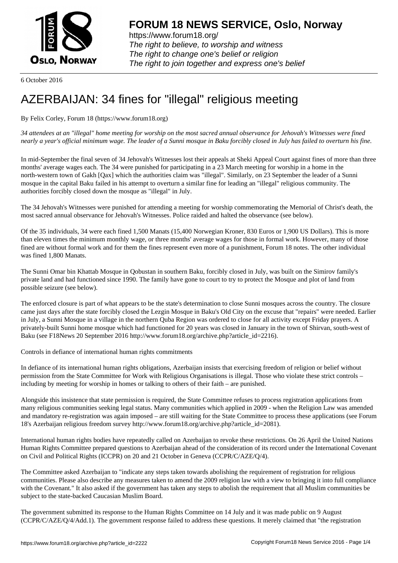

https://www.forum18.org/ The right to believe, to worship and witness The right to change one's belief or religion [The right to join together a](https://www.forum18.org/)nd express one's belief

6 October 2016

## [AZERBAIJAN: 3](https://www.forum18.org)4 fines for "illegal" religious meeting

By Felix Corley, Forum 18 (https://www.forum18.org)

*34 attendees at an "illegal" home meeting for worship on the most sacred annual observance for Jehovah's Witnesses were fined nearly a year's official minimum wage. The leader of a Sunni mosque in Baku forcibly closed in July has failed to overturn his fine.*

In mid-September the final seven of 34 Jehovah's Witnesses lost their appeals at Sheki Appeal Court against fines of more than three months' average wages each. The 34 were punished for participating in a 23 March meeting for worship in a home in the north-western town of Gakh [Qax] which the authorities claim was "illegal". Similarly, on 23 September the leader of a Sunni mosque in the capital Baku failed in his attempt to overturn a similar fine for leading an "illegal" religious community. The authorities forcibly closed down the mosque as "illegal" in July.

The 34 Jehovah's Witnesses were punished for attending a meeting for worship commemorating the Memorial of Christ's death, the most sacred annual observance for Jehovah's Witnesses. Police raided and halted the observance (see below).

Of the 35 individuals, 34 were each fined 1,500 Manats (15,400 Norwegian Kroner, 830 Euros or 1,900 US Dollars). This is more than eleven times the minimum monthly wage, or three months' average wages for those in formal work. However, many of those fined are without formal work and for them the fines represent even more of a punishment, Forum 18 notes. The other individual was fined 1,800 Manats.

The Sunni Omar bin Khattab Mosque in Qobustan in southern Baku, forcibly closed in July, was built on the Simirov family's private land and had functioned since 1990. The family have gone to court to try to protect the Mosque and plot of land from possible seizure (see below).

The enforced closure is part of what appears to be the state's determination to close Sunni mosques across the country. The closure came just days after the state forcibly closed the Lezgin Mosque in Baku's Old City on the excuse that "repairs" were needed. Earlier in July, a Sunni Mosque in a village in the northern Quba Region was ordered to close for all activity except Friday prayers. A privately-built Sunni home mosque which had functioned for 20 years was closed in January in the town of Shirvan, south-west of Baku (see F18News 20 September 2016 http://www.forum18.org/archive.php?article\_id=2216).

Controls in defiance of international human rights commitments

In defiance of its international human rights obligations, Azerbaijan insists that exercising freedom of religion or belief without permission from the State Committee for Work with Religious Organisations is illegal. Those who violate these strict controls – including by meeting for worship in homes or talking to others of their faith – are punished.

Alongside this insistence that state permission is required, the State Committee refuses to process registration applications from many religious communities seeking legal status. Many communities which applied in 2009 - when the Religion Law was amended and mandatory re-registration was again imposed – are still waiting for the State Committee to process these applications (see Forum 18's Azerbaijan religious freedom survey http://www.forum18.org/archive.php?article\_id=2081).

International human rights bodies have repeatedly called on Azerbaijan to revoke these restrictions. On 26 April the United Nations Human Rights Committee prepared questions to Azerbaijan ahead of the consideration of its record under the International Covenant on Civil and Political Rights (ICCPR) on 20 and 21 October in Geneva (CCPR/C/AZE/Q/4).

The Committee asked Azerbaijan to "indicate any steps taken towards abolishing the requirement of registration for religious communities. Please also describe any measures taken to amend the 2009 religion law with a view to bringing it into full compliance with the Covenant." It also asked if the government has taken any steps to abolish the requirement that all Muslim communities be subject to the state-backed Caucasian Muslim Board.

The government submitted its response to the Human Rights Committee on 14 July and it was made public on 9 August (CCPR/C/AZE/Q/4/Add.1). The government response failed to address these questions. It merely claimed that "the registration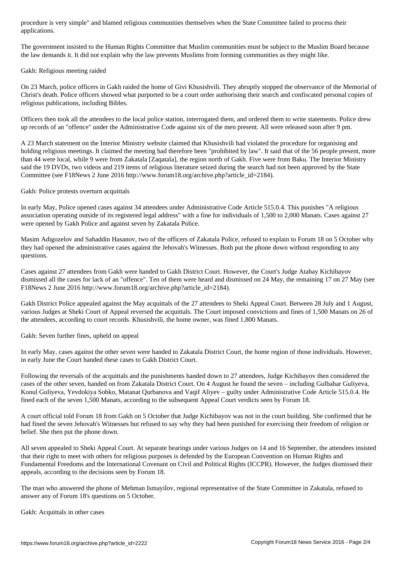applications. The contractions of the contractions of the contractions of the contractions of the contractions.

The government insisted to the Human Rights Committee that Muslim communities must be subject to the Muslim Board because the law demands it. It did not explain why the law prevents Muslims from forming communities as they might like.

Gakh: Religious meeting raided

On 23 March, police officers in Gakh raided the home of Givi Khusishvili. They abruptly stopped the observance of the Memorial of Christ's death. Police officers showed what purported to be a court order authorising their search and confiscated personal copies of religious publications, including Bibles.

Officers then took all the attendees to the local police station, interrogated them, and ordered them to write statements. Police drew up records of an "offence" under the Administrative Code against six of the men present. All were released soon after 9 pm.

A 23 March statement on the Interior Ministry website claimed that Khusishvili had violated the procedure for organising and holding religious meetings. It claimed the meeting had therefore been "prohibited by law". It said that of the 56 people present, more than 44 were local, while 9 were from Zakatala [Zaqatala], the region north of Gakh. Five were from Baku. The Interior Ministry said the 19 DVDs, two videos and 219 items of religious literature seized during the search had not been approved by the State Committee (see F18News 2 June 2016 http://www.forum18.org/archive.php?article\_id=2184).

Gakh: Police protests overturn acquittals

In early May, Police opened cases against 34 attendees under Administrative Code Article 515.0.4. This punishes "A religious association operating outside of its registered legal address" with a fine for individuals of 1,500 to 2,000 Manats. Cases against 27 were opened by Gakh Police and against seven by Zakatala Police.

Masim Adigozelov and Sahaddin Hasanov, two of the officers of Zakatala Police, refused to explain to Forum 18 on 5 October why they had opened the administrative cases against the Jehovah's Witnesses. Both put the phone down without responding to any questions.

Cases against 27 attendees from Gakh were handed to Gakh District Court. However, the Court's Judge Atabay Kichibayov dismissed all the cases for lack of an "offence". Ten of them were heard and dismissed on 24 May, the remaining 17 on 27 May (see F18News 2 June 2016 http://www.forum18.org/archive.php?article\_id=2184).

Gakh District Police appealed against the May acquittals of the 27 attendees to Sheki Appeal Court. Between 28 July and 1 August, various Judges at Sheki Court of Appeal reversed the acquittals. The Court imposed convictions and fines of 1,500 Manats on 26 of the attendees, according to court records. Khusishvili, the home owner, was fined 1,800 Manats.

Gakh: Seven further fines, upheld on appeal

In early May, cases against the other seven were handed to Zakatala District Court, the home region of those individuals. However, in early June the Court handed these cases to Gakh District Court.

Following the reversals of the acquittals and the punishments handed down to 27 attendees, Judge Kichibayov then considered the cases of the other seven, handed on from Zakatala District Court. On 4 August he found the seven – including Gulbahar Guliyeva, Konul Guliyeva, Yevdokiya Sobko, Matanat Qurbanova and Vaqif Aliyev – guilty under Administrative Code Article 515.0.4. He fined each of the seven 1,500 Manats, according to the subsequent Appeal Court verdicts seen by Forum 18.

A court official told Forum 18 from Gakh on 5 October that Judge Kichibayov was not in the court building. She confirmed that he had fined the seven Jehovah's Witnesses but refused to say why they had been punished for exercising their freedom of religion or belief. She then put the phone down.

All seven appealed to Sheki Appeal Court. At separate hearings under various Judges on 14 and 16 September, the attendees insisted that their right to meet with others for religious purposes is defended by the European Convention on Human Rights and Fundamental Freedoms and the International Covenant on Civil and Political Rights (ICCPR). However, the Judges dismissed their appeals, according to the decisions seen by Forum 18.

The man who answered the phone of Mehman Ismayilov, regional representative of the State Committee in Zakatala, refused to answer any of Forum 18's questions on 5 October.

Gakh: Acquittals in other cases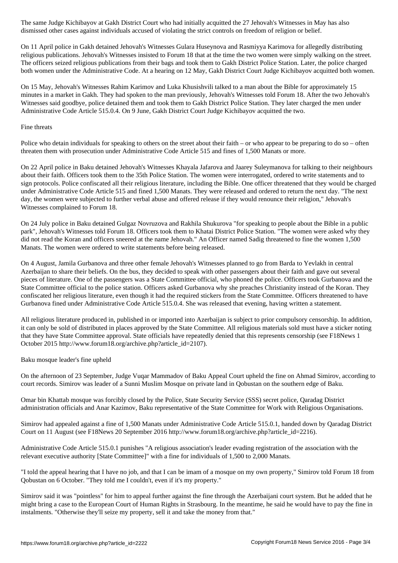On 11 April police in Gakh detained Jehovah's Witnesses Gulara Huseynova and Rasmiyya Karimova for allegedly distributing religious publications. Jehovah's Witnesses insisted to Forum 18 that at the time the two women were simply walking on the street. The officers seized religious publications from their bags and took them to Gakh District Police Station. Later, the police charged both women under the Administrative Code. At a hearing on 12 May, Gakh District Court Judge Kichibayov acquitted both women.

dismissed other cases against individuals accused of violating the strict controls on freedom of religion or belief.

On 15 May, Jehovah's Witnesses Rahim Karimov and Luka Khusishvili talked to a man about the Bible for approximately 15 minutes in a market in Gakh. They had spoken to the man previously, Jehovah's Witnesses told Forum 18. After the two Jehovah's Witnesses said goodbye, police detained them and took them to Gakh District Police Station. They later charged the men under Administrative Code Article 515.0.4. On 9 June, Gakh District Court Judge Kichibayov acquitted the two.

## Fine threats

Police who detain individuals for speaking to others on the street about their faith – or who appear to be preparing to do so – often threaten them with prosecution under Administrative Code Article 515 and fines of 1,500 Manats or more.

On 22 April police in Baku detained Jehovah's Witnesses Khayala Jafarova and Jaarey Suleymanova for talking to their neighbours about their faith. Officers took them to the 35th Police Station. The women were interrogated, ordered to write statements and to sign protocols. Police confiscated all their religious literature, including the Bible. One officer threatened that they would be charged under Administrative Code Article 515 and fined 1,500 Manats. They were released and ordered to return the next day. "The next day, the women were subjected to further verbal abuse and offered release if they would renounce their religion," Jehovah's Witnesses complained to Forum 18.

On 24 July police in Baku detained Gulgaz Novruzova and Rakhila Shukurova "for speaking to people about the Bible in a public park", Jehovah's Witnesses told Forum 18. Officers took them to Khatai District Police Station. "The women were asked why they did not read the Koran and officers sneered at the name Jehovah." An Officer named Sadig threatened to fine the women 1,500 Manats. The women were ordered to write statements before being released.

On 4 August, Jamila Gurbanova and three other female Jehovah's Witnesses planned to go from Barda to Yevlakh in central Azerbaijan to share their beliefs. On the bus, they decided to speak with other passengers about their faith and gave out several pieces of literature. One of the passengers was a State Committee official, who phoned the police. Officers took Gurbanova and the State Committee official to the police station. Officers asked Gurbanova why she preaches Christianity instead of the Koran. They confiscated her religious literature, even though it had the required stickers from the State Committee. Officers threatened to have Gurbanova fined under Administrative Code Article 515.0.4. She was released that evening, having written a statement.

All religious literature produced in, published in or imported into Azerbaijan is subject to prior compulsory censorship. In addition, it can only be sold of distributed in places approved by the State Committee. All religious materials sold must have a sticker noting that they have State Committee approval. State officials have repeatedly denied that this represents censorship (see F18News 1 October 2015 http://www.forum18.org/archive.php?article\_id=2107).

Baku mosque leader's fine upheld

On the afternoon of 23 September, Judge Vuqar Mammadov of Baku Appeal Court upheld the fine on Ahmad Simirov, according to court records. Simirov was leader of a Sunni Muslim Mosque on private land in Qobustan on the southern edge of Baku.

Omar bin Khattab mosque was forcibly closed by the Police, State Security Service (SSS) secret police, Qaradag District administration officials and Anar Kazimov, Baku representative of the State Committee for Work with Religious Organisations.

Simirov had appealed against a fine of 1,500 Manats under Administrative Code Article 515.0.1, handed down by Qaradag District Court on 11 August (see F18News 20 September 2016 http://www.forum18.org/archive.php?article\_id=2216).

Administrative Code Article 515.0.1 punishes "A religious association's leader evading registration of the association with the relevant executive authority [State Committee]" with a fine for individuals of 1,500 to 2,000 Manats.

"I told the appeal hearing that I have no job, and that I can be imam of a mosque on my own property," Simirov told Forum 18 from Qobustan on 6 October. "They told me I couldn't, even if it's my property."

Simirov said it was "pointless" for him to appeal further against the fine through the Azerbaijani court system. But he added that he might bring a case to the European Court of Human Rights in Strasbourg. In the meantime, he said he would have to pay the fine in instalments. "Otherwise they'll seize my property, sell it and take the money from that."